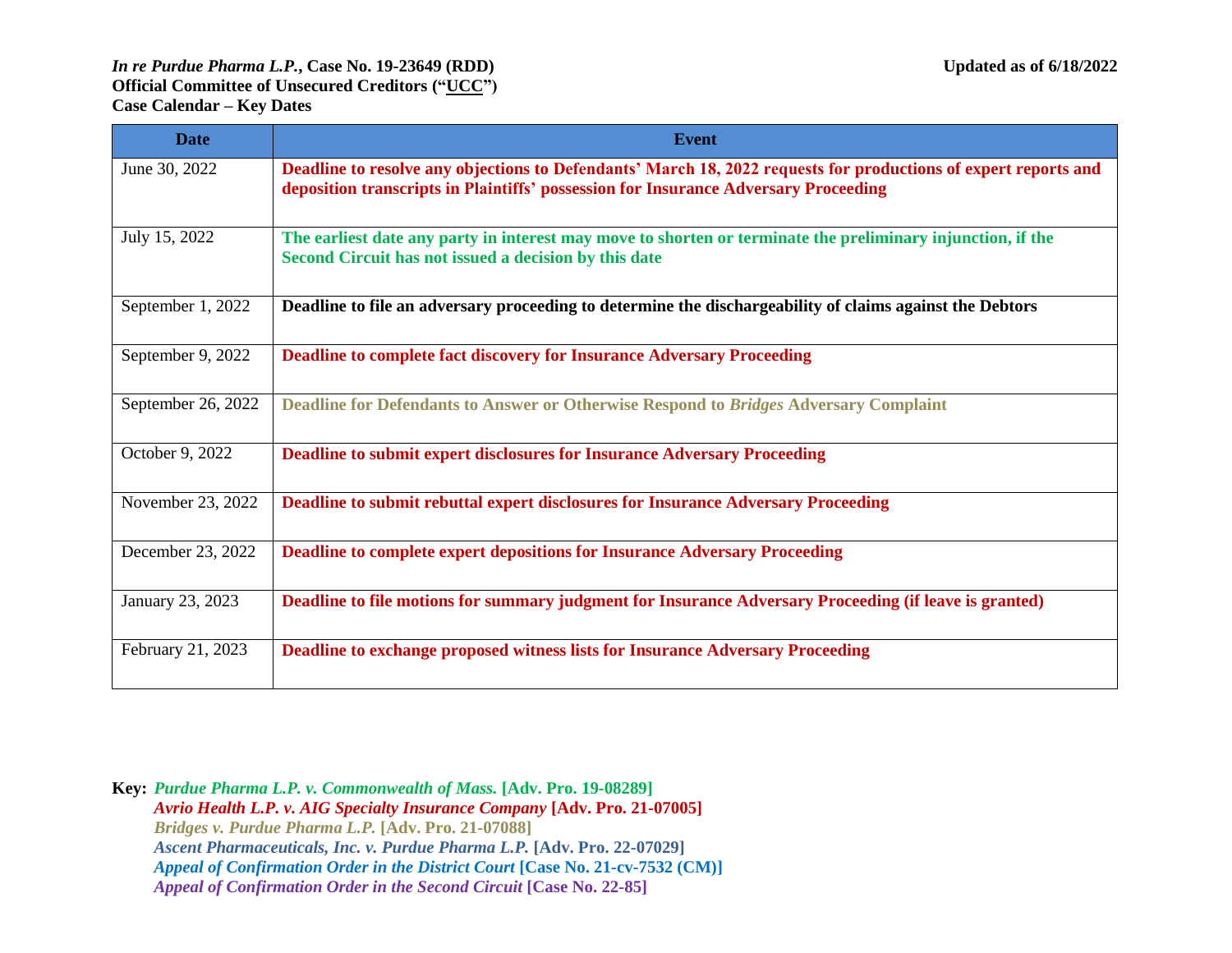| <b>Date</b>        | <b>Event</b>                                                                                                                                                                                           |
|--------------------|--------------------------------------------------------------------------------------------------------------------------------------------------------------------------------------------------------|
| June 30, 2022      | Deadline to resolve any objections to Defendants' March 18, 2022 requests for productions of expert reports and<br>deposition transcripts in Plaintiffs' possession for Insurance Adversary Proceeding |
| July 15, 2022      | The earliest date any party in interest may move to shorten or terminate the preliminary injunction, if the<br>Second Circuit has not issued a decision by this date                                   |
| September 1, 2022  | Deadline to file an adversary proceeding to determine the dischargeability of claims against the Debtors                                                                                               |
| September 9, 2022  | <b>Deadline to complete fact discovery for Insurance Adversary Proceeding</b>                                                                                                                          |
| September 26, 2022 | Deadline for Defendants to Answer or Otherwise Respond to Bridges Adversary Complaint                                                                                                                  |
| October 9, 2022    | Deadline to submit expert disclosures for Insurance Adversary Proceeding                                                                                                                               |
| November 23, 2022  | Deadline to submit rebuttal expert disclosures for Insurance Adversary Proceeding                                                                                                                      |
| December 23, 2022  | <b>Deadline to complete expert depositions for Insurance Adversary Proceeding</b>                                                                                                                      |
| January 23, 2023   | Deadline to file motions for summary judgment for Insurance Adversary Proceeding (if leave is granted)                                                                                                 |
| February 21, 2023  | Deadline to exchange proposed witness lists for Insurance Adversary Proceeding                                                                                                                         |

**Key:** *Purdue Pharma L.P. v. Commonwealth of Mass.* **[Adv. Pro. 19-08289]**  *Avrio Health L.P. v. AIG Specialty Insurance Company* **[Adv. Pro. 21-07005]** *Bridges v. Purdue Pharma L.P.* **[Adv. Pro. 21-07088]** *Ascent Pharmaceuticals, Inc. v. Purdue Pharma L.P.* **[Adv. Pro. 22-07029]** *Appeal of Confirmation Order in the District Court* **[Case No. 21-cv-7532 (CM)]** *Appeal of Confirmation Order in the Second Circuit* **[Case No. 22-85]**